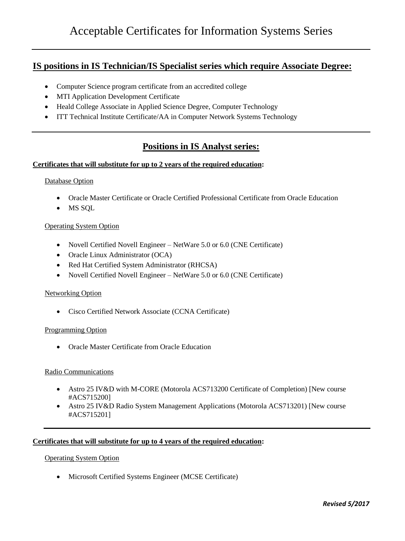# **IS positions in IS Technician/IS Specialist series which require Associate Degree:**

- Computer Science program certificate from an accredited college
- MTI Application Development Certificate
- Heald College Associate in Applied Science Degree, Computer Technology
- ITT Technical Institute Certificate/AA in Computer Network Systems Technology

# **Positions in IS Analyst series:**

## **Certificates that will substitute for up to 2 years of the required education:**

#### Database Option

- Oracle Master Certificate or Oracle Certified Professional Certificate from Oracle Education
- MS SQL

## Operating System Option

- Novell Certified Novell Engineer NetWare 5.0 or 6.0 (CNE Certificate)
- Oracle Linux Administrator (OCA)
- Red Hat Certified System Administrator (RHCSA)
- Novell Certified Novell Engineer NetWare 5.0 or 6.0 (CNE Certificate)

### Networking Option

Cisco Certified Network Associate (CCNA Certificate)

#### Programming Option

Oracle Master Certificate from Oracle Education

#### Radio Communications

- Astro 25 IV&D with M-CORE (Motorola ACS713200 Certificate of Completion) [New course #ACS715200]
- Astro 25 IV&D Radio System Management Applications (Motorola ACS713201) [New course #ACS715201]

## **Certificates that will substitute for up to 4 years of the required education:**

#### Operating System Option

Microsoft Certified Systems Engineer (MCSE Certificate)